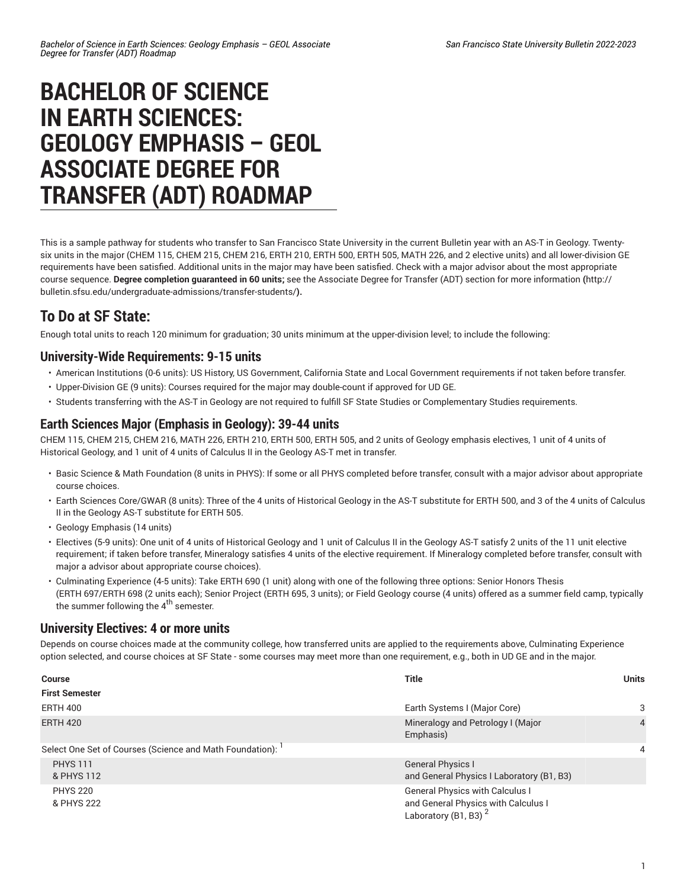# **BACHELOR OF SCIENCE IN EARTH SCIENCES: GEOLOGY EMPHASIS – GEOL ASSOCIATE DEGREE FOR TRANSFER (ADT) ROADMAP**

This is a sample pathway for students who transfer to San Francisco State University in the current Bulletin year with an AS-T in Geology. Twentysix units in the major (CHEM 115, CHEM 215, CHEM 216, ERTH 210, ERTH 500, ERTH 505, MATH 226, and 2 elective units) and all lower-division GE requirements have been satisfied. Additional units in the major may have been satisfied. Check with a major advisor about the most appropriate course sequence. **Degree completion guaranteed in 60 units;** see the Associate Degree for Transfer (ADT) section for more [information](http://bulletin.sfsu.edu/undergraduate-admissions/transfer-students/) **(**[http://](http://bulletin.sfsu.edu/undergraduate-admissions/transfer-students/) [bulletin.sfsu.edu/undergraduate-admissions/transfer-students/](http://bulletin.sfsu.edu/undergraduate-admissions/transfer-students/)**).**

## **To Do at SF State:**

Enough total units to reach 120 minimum for graduation; 30 units minimum at the upper-division level; to include the following:

### **University-Wide Requirements: 9-15 units**

- American Institutions (0-6 units): US History, US Government, California State and Local Government requirements if not taken before transfer.
- Upper-Division GE (9 units): Courses required for the major may double-count if approved for UD GE.
- Students transferring with the AS-T in Geology are not required to fulfill SF State Studies or Complementary Studies requirements.

#### **Earth Sciences Major (Emphasis in Geology): 39-44 units**

CHEM 115, CHEM 215, CHEM 216, MATH 226, ERTH 210, ERTH 500, ERTH 505, and 2 units of Geology emphasis electives, 1 unit of 4 units of Historical Geology, and 1 unit of 4 units of Calculus II in the Geology AS-T met in transfer.

- Basic Science & Math Foundation (8 units in PHYS): If some or all PHYS completed before transfer, consult with a major advisor about appropriate course choices.
- Earth Sciences Core/GWAR (8 units): Three of the 4 units of Historical Geology in the AS-T substitute for ERTH 500, and 3 of the 4 units of Calculus II in the Geology AS-T substitute for ERTH 505.
- Geology Emphasis (14 units)
- Electives (5-9 units): One unit of 4 units of Historical Geology and 1 unit of Calculus II in the Geology AS-T satisfy 2 units of the 11 unit elective requirement; if taken before transfer, Mineralogy satisfies 4 units of the elective requirement. If Mineralogy completed before transfer, consult with major a advisor about appropriate course choices).
- Culminating Experience (4-5 units): Take ERTH 690 (1 unit) along with one of the following three options: Senior Honors Thesis (ERTH 697/ERTH 698 (2 units each); Senior Project (ERTH 695, 3 units); or Field Geology course (4 units) offered as a summer field camp, typically the summer following the  $4<sup>th</sup>$  semester.

### **University Electives: 4 or more units**

Depends on course choices made at the community college, how transferred units are applied to the requirements above, Culminating Experience option selected, and course choices at SF State - some courses may meet more than one requirement, e.g., both in UD GE and in the major.

| <b>Course</b>                                            | <b>Title</b>                                                                                                      | <b>Units</b>   |
|----------------------------------------------------------|-------------------------------------------------------------------------------------------------------------------|----------------|
| <b>First Semester</b>                                    |                                                                                                                   |                |
| <b>ERTH 400</b>                                          | Earth Systems I (Major Core)                                                                                      | 3              |
| <b>ERTH 420</b>                                          | Mineralogy and Petrology I (Major<br>Emphasis)                                                                    | $\overline{4}$ |
| Select One Set of Courses (Science and Math Foundation): |                                                                                                                   | $\overline{4}$ |
| <b>PHYS 111</b><br>& PHYS 112                            | <b>General Physics I</b><br>and General Physics I Laboratory (B1, B3)                                             |                |
| <b>PHYS 220</b><br>& PHYS 222                            | <b>General Physics with Calculus I</b><br>and General Physics with Calculus I<br>Laboratory (B1, B3) <sup>2</sup> |                |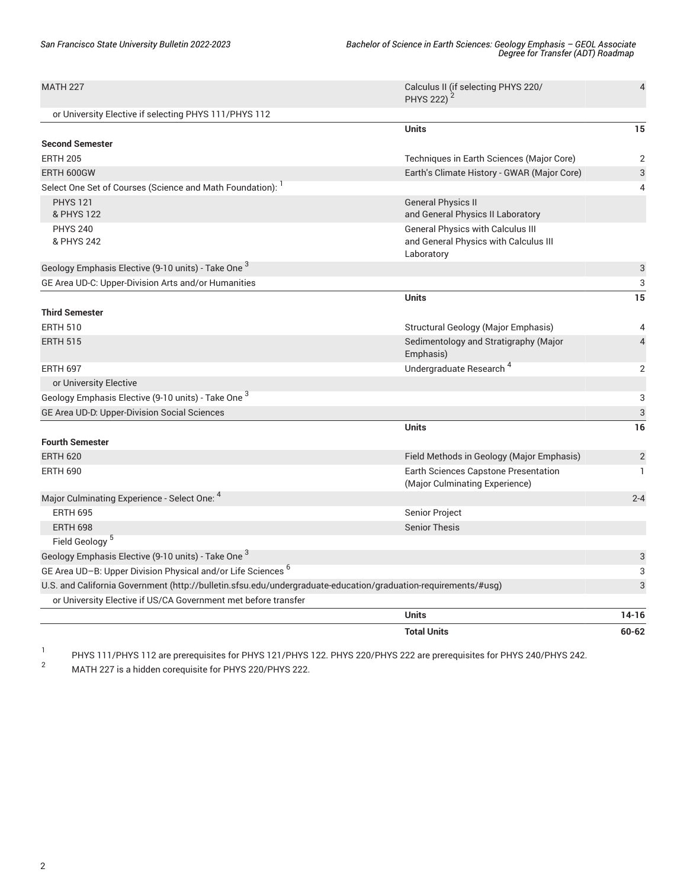| <b>MATH 227</b>                                                                                                | Calculus II (if selecting PHYS 220/<br>PHYS 222) <sup>2</sup>                                   | $\overline{4}$ |
|----------------------------------------------------------------------------------------------------------------|-------------------------------------------------------------------------------------------------|----------------|
| or University Elective if selecting PHYS 111/PHYS 112                                                          |                                                                                                 |                |
|                                                                                                                | <b>Units</b>                                                                                    | 15             |
| <b>Second Semester</b>                                                                                         |                                                                                                 |                |
| <b>ERTH 205</b>                                                                                                | Techniques in Earth Sciences (Major Core)                                                       | $\overline{2}$ |
| ERTH 600GW                                                                                                     | Earth's Climate History - GWAR (Major Core)                                                     | 3              |
| Select One Set of Courses (Science and Math Foundation): <sup>1</sup>                                          |                                                                                                 | 4              |
| <b>PHYS 121</b><br>& PHYS 122                                                                                  | <b>General Physics II</b><br>and General Physics II Laboratory                                  |                |
| <b>PHYS 240</b><br>& PHYS 242                                                                                  | <b>General Physics with Calculus III</b><br>and General Physics with Calculus III<br>Laboratory |                |
| Geology Emphasis Elective (9-10 units) - Take One <sup>3</sup>                                                 |                                                                                                 | 3              |
| GE Area UD-C: Upper-Division Arts and/or Humanities                                                            |                                                                                                 | 3              |
|                                                                                                                | <b>Units</b>                                                                                    | 15             |
| <b>Third Semester</b>                                                                                          |                                                                                                 |                |
| <b>ERTH 510</b>                                                                                                | Structural Geology (Major Emphasis)                                                             | 4              |
| <b>ERTH 515</b>                                                                                                | Sedimentology and Stratigraphy (Major<br>Emphasis)                                              | $\overline{4}$ |
| <b>ERTH 697</b>                                                                                                | Undergraduate Research <sup>4</sup>                                                             | 2              |
| or University Elective                                                                                         |                                                                                                 |                |
| Geology Emphasis Elective (9-10 units) - Take One <sup>3</sup>                                                 |                                                                                                 | 3              |
| GE Area UD-D: Upper-Division Social Sciences                                                                   |                                                                                                 | 3              |
|                                                                                                                | <b>Units</b>                                                                                    | 16             |
| <b>Fourth Semester</b>                                                                                         |                                                                                                 |                |
| <b>ERTH 620</b>                                                                                                | Field Methods in Geology (Major Emphasis)                                                       | $\overline{2}$ |
| <b>ERTH 690</b>                                                                                                | Earth Sciences Capstone Presentation<br>(Major Culminating Experience)                          | $\mathbf{1}$   |
| Major Culminating Experience - Select One: 4                                                                   |                                                                                                 | $2 - 4$        |
| <b>ERTH 695</b>                                                                                                | Senior Project                                                                                  |                |
| <b>ERTH 698</b>                                                                                                | <b>Senior Thesis</b>                                                                            |                |
| Field Geology <sup>5</sup>                                                                                     |                                                                                                 |                |
| Geology Emphasis Elective (9-10 units) - Take One <sup>3</sup>                                                 |                                                                                                 | 3              |
| GE Area UD-B: Upper Division Physical and/or Life Sciences <sup>6</sup>                                        |                                                                                                 | 3              |
| U.S. and California Government (http://bulletin.sfsu.edu/undergraduate-education/graduation-requirements/#usg) |                                                                                                 | 3              |
| or University Elective if US/CA Government met before transfer                                                 |                                                                                                 |                |
|                                                                                                                | <b>Units</b>                                                                                    | $14 - 16$      |
|                                                                                                                | <b>Total Units</b>                                                                              | $60 - 62$      |

1 PHYS 111/PHYS 112 are prerequisites for PHYS 121/PHYS 122. PHYS 220/PHYS 222 are prerequisites for PHYS 240/PHYS 242.

<sup>2</sup> MATH <sup>227</sup> is <sup>a</sup> hidden corequisite for PHYS 220/PHYS 222.